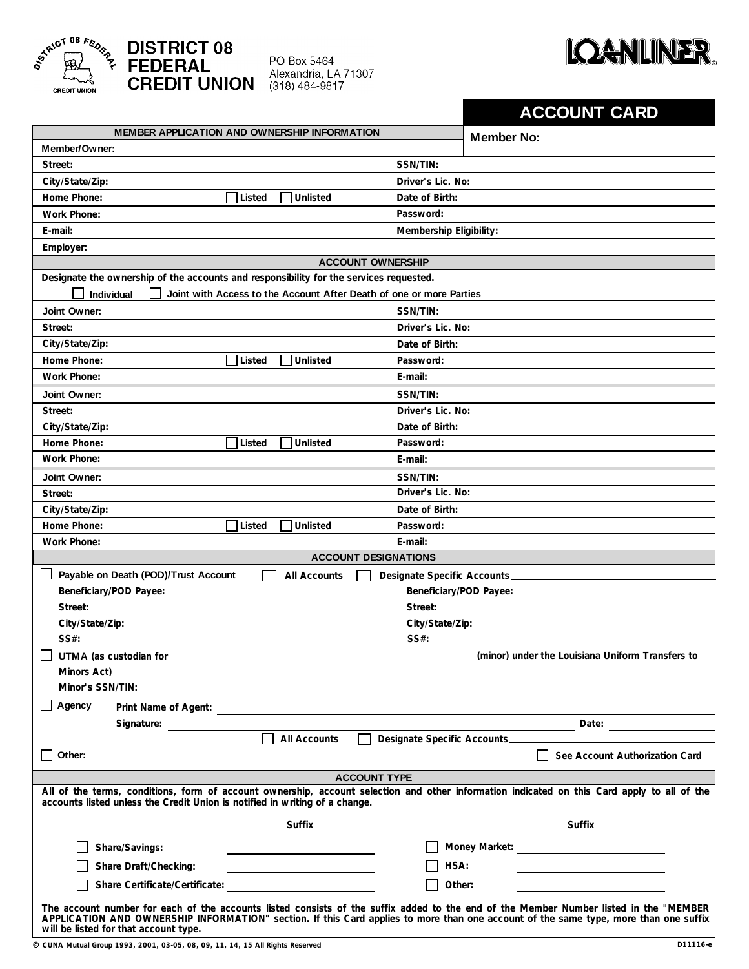

## **DISTRICT 08<br>FEDERAL<br>CREDIT UNION**

PO Box 5464 Alexandria, LA 71307  $(318)$  484-9817



|                                                                                        |        |               |                                                                     | <b>ACCOUNT CARD</b>                                                                                                                                                                                                                                                           |
|----------------------------------------------------------------------------------------|--------|---------------|---------------------------------------------------------------------|-------------------------------------------------------------------------------------------------------------------------------------------------------------------------------------------------------------------------------------------------------------------------------|
| MEMBER APPLICATION AND OWNERSHIP INFORMATION                                           |        |               |                                                                     | <b>Member No:</b>                                                                                                                                                                                                                                                             |
| Member/Owner:                                                                          |        |               |                                                                     |                                                                                                                                                                                                                                                                               |
| Street:                                                                                |        |               | SSN/TIN:                                                            |                                                                                                                                                                                                                                                                               |
| City/State/Zip:                                                                        |        |               | Driver's Lic. No:                                                   |                                                                                                                                                                                                                                                                               |
| Home Phone:                                                                            | Listed | Unlisted      | Date of Birth:                                                      |                                                                                                                                                                                                                                                                               |
| Work Phone:                                                                            |        |               | Password:                                                           |                                                                                                                                                                                                                                                                               |
| E-mail:                                                                                |        |               | Membership Eligibility:                                             |                                                                                                                                                                                                                                                                               |
| Employer:                                                                              |        |               |                                                                     |                                                                                                                                                                                                                                                                               |
|                                                                                        |        |               | <b>ACCOUNT OWNERSHIP</b>                                            |                                                                                                                                                                                                                                                                               |
| Designate the ownership of the accounts and responsibility for the services requested. |        |               |                                                                     |                                                                                                                                                                                                                                                                               |
| Individual                                                                             |        |               | Joint with Access to the Account After Death of one or more Parties |                                                                                                                                                                                                                                                                               |
| Joint Owner:                                                                           |        |               | SSN/TIN:                                                            |                                                                                                                                                                                                                                                                               |
| Street:                                                                                |        |               | Driver's Lic. No:                                                   |                                                                                                                                                                                                                                                                               |
| City/State/Zip:                                                                        |        |               | Date of Birth:                                                      |                                                                                                                                                                                                                                                                               |
| Home Phone:                                                                            | Listed | Unlisted      | Password:                                                           |                                                                                                                                                                                                                                                                               |
| Work Phone:                                                                            |        |               | E-mail:                                                             |                                                                                                                                                                                                                                                                               |
| Joint Owner:                                                                           |        |               | SSN/TIN:                                                            |                                                                                                                                                                                                                                                                               |
| Street:                                                                                |        |               | Driver's Lic. No:                                                   |                                                                                                                                                                                                                                                                               |
| City/State/Zip:                                                                        |        |               | Date of Birth:                                                      |                                                                                                                                                                                                                                                                               |
| Home Phone:                                                                            | Listed | Unlisted      | Password:                                                           |                                                                                                                                                                                                                                                                               |
| Work Phone:                                                                            |        |               | E-mail:                                                             |                                                                                                                                                                                                                                                                               |
| Joint Owner:                                                                           |        |               | SSN/TIN:                                                            |                                                                                                                                                                                                                                                                               |
| Street:                                                                                |        |               | Driver's Lic. No:                                                   |                                                                                                                                                                                                                                                                               |
| City/State/Zip:                                                                        |        |               | Date of Birth:                                                      |                                                                                                                                                                                                                                                                               |
| Home Phone:                                                                            | Listed | Unlisted      | Password:                                                           |                                                                                                                                                                                                                                                                               |
| Work Phone:                                                                            |        |               | E-mail:                                                             |                                                                                                                                                                                                                                                                               |
|                                                                                        |        |               | <b>ACCOUNT DESIGNATIONS</b>                                         |                                                                                                                                                                                                                                                                               |
| Payable on Death (POD)/Trust Account                                                   |        | All Accounts  | Designate Specific Accounts                                         |                                                                                                                                                                                                                                                                               |
| Beneficiary/POD Payee:                                                                 |        |               |                                                                     | Beneficiary/POD Payee:                                                                                                                                                                                                                                                        |
| Street:                                                                                |        |               | Street:                                                             |                                                                                                                                                                                                                                                                               |
| City/State/Zip:                                                                        |        |               | City/State/Zip:                                                     |                                                                                                                                                                                                                                                                               |
| SS#:                                                                                   |        |               | SS#:                                                                |                                                                                                                                                                                                                                                                               |
| UTMA (as custodian for                                                                 |        |               |                                                                     | (minor) under the Louisiana Uniform Transfers to                                                                                                                                                                                                                              |
| Minors Act)                                                                            |        |               |                                                                     |                                                                                                                                                                                                                                                                               |
| Minor's SSN/TIN:                                                                       |        |               |                                                                     |                                                                                                                                                                                                                                                                               |
| Agency                                                                                 |        |               |                                                                     |                                                                                                                                                                                                                                                                               |
| Signature:                                                                             |        |               |                                                                     |                                                                                                                                                                                                                                                                               |
|                                                                                        |        | All Accounts  |                                                                     | Designate Specific Accounts                                                                                                                                                                                                                                                   |
| Other:                                                                                 |        |               |                                                                     | See Account Authorization Card                                                                                                                                                                                                                                                |
|                                                                                        |        |               | <b>ACCOUNT TYPE</b>                                                 |                                                                                                                                                                                                                                                                               |
|                                                                                        |        |               |                                                                     | All of the terms, conditions, form of account ownership, account selection and other information indicated on this Card apply to all of the                                                                                                                                   |
| accounts listed unless the Credit Union is notified in writing of a change.            |        |               |                                                                     |                                                                                                                                                                                                                                                                               |
|                                                                                        |        | <b>Suffix</b> |                                                                     | Suffix                                                                                                                                                                                                                                                                        |
| Share/Savings:                                                                         |        |               |                                                                     |                                                                                                                                                                                                                                                                               |
| Share Draft/Checking:                                                                  |        |               |                                                                     | HSA:                                                                                                                                                                                                                                                                          |
|                                                                                        |        |               |                                                                     | Other:                                                                                                                                                                                                                                                                        |
| Share Certificate/Certificate:                                                         |        |               |                                                                     |                                                                                                                                                                                                                                                                               |
| will be listed for that account type.                                                  |        |               |                                                                     | The account number for each of the accounts listed consists of the suffix added to the end of the Member Number listed in the "MEMBER<br>APPLICATION AND OWNERSHIP INFORMATION" section. If this Card applies to more than one account of the same type, more than one suffix |